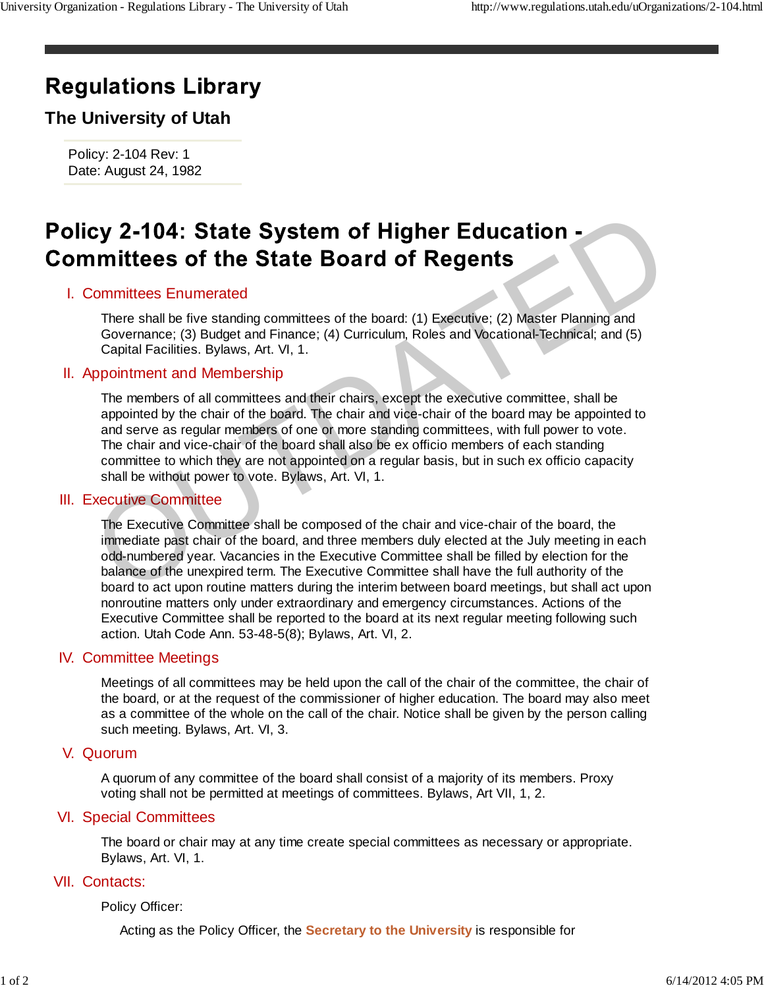# **Regulations Library**

## **The University of Utah**

Policy: 2-104 Rev: 1 Date: August 24, 1982

### I. Committees Enumerated

There shall be five standing committees of the board: (1) Executive; (2) Master Planning and Governance; (3) Budget and Finance; (4) Curriculum, Roles and Vocational-Technical; and (5) Capital Facilities. Bylaws, Art. VI, 1.

#### II. Appointment and Membership

The members of all committees and their chairs, except the executive committee, shall be appointed by the chair of the board. The chair and vice-chair of the board may be appointed to and serve as regular members of one or more standing committees, with full power to vote. The chair and vice-chair of the board shall also be ex officio members of each standing committee to which they are not appointed on a regular basis, but in such ex officio capacity shall be without power to vote. Bylaws, Art. VI, 1. Cy 2-104: State System of Higher Education -<br>
Imittees of the State Board of Regents<br>
Committees Enumerated<br>
There shall be five standing committees of the board: (1) Executive; (2) Master Planning and<br>
There shall be fiv

#### III. Executive Committee

The Executive Committee shall be composed of the chair and vice-chair of the board, the immediate past chair of the board, and three members duly elected at the July meeting in each odd-numbered year. Vacancies in the Executive Committee shall be filled by election for the balance of the unexpired term. The Executive Committee shall have the full authority of the board to act upon routine matters during the interim between board meetings, but shall act upon nonroutine matters only under extraordinary and emergency circumstances. Actions of the Executive Committee shall be reported to the board at its next regular meeting following such action. Utah Code Ann. 53-48-5(8); Bylaws, Art. VI, 2.

#### **IV. Committee Meetings**

Meetings of all committees may be held upon the call of the chair of the committee, the chair of the board, or at the request of the commissioner of higher education. The board may also meet as a committee of the whole on the call of the chair. Notice shall be given by the person calling such meeting. Bylaws, Art. VI, 3.

#### V. Quorum

A quorum of any committee of the board shall consist of a majority of its members. Proxy voting shall not be permitted at meetings of committees. Bylaws, Art VII, 1, 2.

#### VI. Special Committees

The board or chair may at any time create special committees as necessary or appropriate. Bylaws, Art. VI, 1.

#### VII. Contacts:

Policy Officer:

Acting as the Policy Officer, the **Secretary to the University** is responsible for